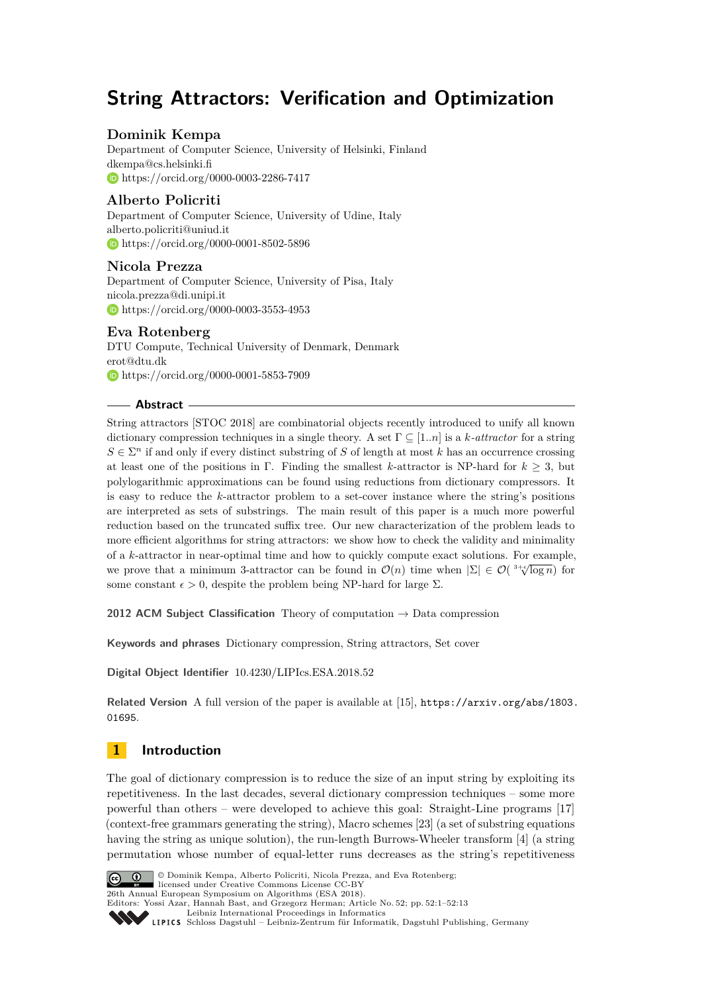# **String Attractors: Verification and Optimization**

## **Dominik Kempa**

Department of Computer Science, University of Helsinki, Finland [dkempa@cs.helsinki.fi](mailto:dkempa@cs.helsinki.fi) <https://orcid.org/0000-0003-2286-7417>

## **Alberto Policriti**

Department of Computer Science, University of Udine, Italy [alberto.policriti@uniud.it](mailto:alberto.policriti@uniud.it) <https://orcid.org/0000-0001-8502-5896>

## **Nicola Prezza**

Department of Computer Science, University of Pisa, Italy [nicola.prezza@di.unipi.it](mailto:nicola.prezza@di.unipi.it) <https://orcid.org/0000-0003-3553-4953>

## **Eva Rotenberg**

DTU Compute, Technical University of Denmark, Denmark [erot@dtu.dk](mailto:erot@dtu.dk) <https://orcid.org/0000-0001-5853-7909>

## **Abstract**

String attractors [STOC 2018] are combinatorial objects recently introduced to unify all known dictionary compression techniques in a single theory. A set Γ ⊆ [1*..n*] is a *k-attractor* for a string  $S \in \Sigma<sup>n</sup>$  if and only if every distinct substring of *S* of length at most *k* has an occurrence crossing at least one of the positions in Γ. Finding the smallest *k*-attractor is NP-hard for  $k \geq 3$ , but polylogarithmic approximations can be found using reductions from dictionary compressors. It is easy to reduce the *k*-attractor problem to a set-cover instance where the string's positions are interpreted as sets of substrings. The main result of this paper is a much more powerful reduction based on the truncated suffix tree. Our new characterization of the problem leads to more efficient algorithms for string attractors: we show how to check the validity and minimality of a *k*-attractor in near-optimal time and how to quickly compute exact solutions. For example, we prove that a minimum 3-attractor can be found in  $\mathcal{O}(n)$  time when  $|\Sigma| \in \mathcal{O}(3+\sqrt[n]{\log n})$  for some constant  $\epsilon > 0$ , despite the problem being NP-hard for large  $\Sigma$ .

**2012 ACM Subject Classification** Theory of computation → Data compression

**Keywords and phrases** Dictionary compression, String attractors, Set cover

**Digital Object Identifier** [10.4230/LIPIcs.ESA.2018.52](http://dx.doi.org/10.4230/LIPIcs.ESA.2018.52)

**Related Version** A full version of the paper is available at [\[15\]](#page-12-0), [https://arxiv.org/abs/1803.](https://arxiv.org/abs/1803.01695) [01695](https://arxiv.org/abs/1803.01695).

## **1 Introduction**

The goal of dictionary compression is to reduce the size of an input string by exploiting its repetitiveness. In the last decades, several dictionary compression techniques – some more powerful than others – were developed to achieve this goal: Straight-Line programs [\[17\]](#page-12-1) (context-free grammars generating the string), Macro schemes [\[23\]](#page-12-2) (a set of substring equations having the string as unique solution), the run-length Burrows-Wheeler transform [\[4\]](#page-11-0) (a string permutation whose number of equal-letter runs decreases as the string's repetitiveness



© Dominik Kempa, Alberto Policriti, Nicola Prezza, and Eva Rotenberg; licensed under Creative Commons License CC-BY 26th Annual European Symposium on Algorithms (ESA 2018). Editors: Yossi Azar, Hannah Bast, and Grzegorz Herman; Article No. 52; pp. 52:1–52[:13](#page-12-3)

[Leibniz International Proceedings in Informatics](http://www.dagstuhl.de/lipics/)

[Schloss Dagstuhl – Leibniz-Zentrum für Informatik, Dagstuhl Publishing, Germany](http://www.dagstuhl.de)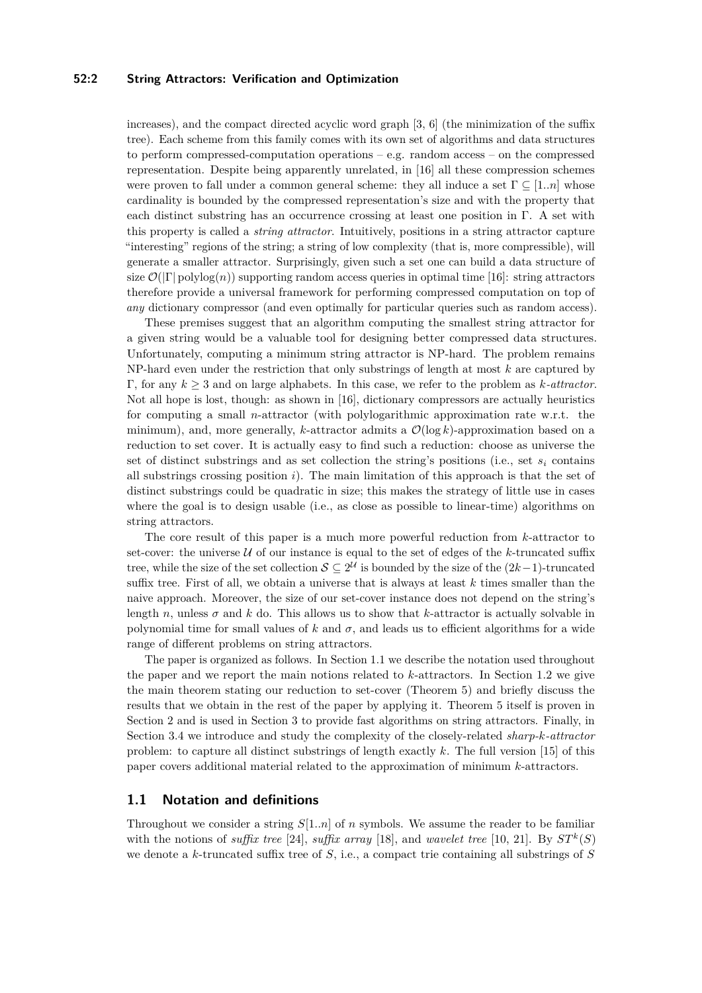## **52:2 String Attractors: Verification and Optimization**

increases), and the compact directed acyclic word graph [\[3,](#page-11-1) [6\]](#page-11-2) (the minimization of the suffix tree). Each scheme from this family comes with its own set of algorithms and data structures to perform compressed-computation operations – e.g. random access – on the compressed representation. Despite being apparently unrelated, in [\[16\]](#page-12-4) all these compression schemes were proven to fall under a common general scheme: they all induce a set  $\Gamma \subseteq [1..n]$  whose cardinality is bounded by the compressed representation's size and with the property that each distinct substring has an occurrence crossing at least one position in Γ. A set with this property is called a *string attractor*. Intuitively, positions in a string attractor capture "interesting" regions of the string; a string of low complexity (that is, more compressible), will generate a smaller attractor. Surprisingly, given such a set one can build a data structure of size  $\mathcal{O}(|\Gamma|)$  polylog $(n)$ ) supporting random access queries in optimal time [\[16\]](#page-12-4): string attractors therefore provide a universal framework for performing compressed computation on top of *any* dictionary compressor (and even optimally for particular queries such as random access).

These premises suggest that an algorithm computing the smallest string attractor for a given string would be a valuable tool for designing better compressed data structures. Unfortunately, computing a minimum string attractor is NP-hard. The problem remains NP-hard even under the restriction that only substrings of length at most *k* are captured by Γ, for any *k* ≥ 3 and on large alphabets. In this case, we refer to the problem as *k-attractor*. Not all hope is lost, though: as shown in [\[16\]](#page-12-4), dictionary compressors are actually heuristics for computing a small *n*-attractor (with polylogarithmic approximation rate w.r.t. the minimum), and, more generally, *k*-attractor admits a  $\mathcal{O}(\log k)$ -approximation based on a reduction to set cover. It is actually easy to find such a reduction: choose as universe the set of distinct substrings and as set collection the string's positions (i.e., set *s<sup>i</sup>* contains all substrings crossing position *i*). The main limitation of this approach is that the set of distinct substrings could be quadratic in size; this makes the strategy of little use in cases where the goal is to design usable (i.e., as close as possible to linear-time) algorithms on string attractors.

The core result of this paper is a much more powerful reduction from *k*-attractor to set-cover: the universe  $U$  of our instance is equal to the set of edges of the  $k$ -truncated suffix tree, while the size of the set collection  $S \subseteq 2^{\mathcal{U}}$  is bounded by the size of the  $(2k-1)$ -truncated suffix tree. First of all, we obtain a universe that is always at least *k* times smaller than the naive approach. Moreover, the size of our set-cover instance does not depend on the string's length *n*, unless  $\sigma$  and  $k$  do. This allows us to show that  $k$ -attractor is actually solvable in polynomial time for small values of  $k$  and  $\sigma$ , and leads us to efficient algorithms for a wide range of different problems on string attractors.

The paper is organized as follows. In Section [1.1](#page-1-0) we describe the notation used throughout the paper and we report the main notions related to *k*-attractors. In Section [1.2](#page-2-0) we give the main theorem stating our reduction to set-cover (Theorem [5\)](#page-2-1) and briefly discuss the results that we obtain in the rest of the paper by applying it. Theorem [5](#page-2-1) itself is proven in Section [2](#page-3-0) and is used in Section [3](#page-5-0) to provide fast algorithms on string attractors. Finally, in Section [3.4](#page-11-3) we introduce and study the complexity of the closely-related *sharp-k-attractor* problem: to capture all distinct substrings of length exactly *k*. The full version [\[15\]](#page-12-0) of this paper covers additional material related to the approximation of minimum *k*-attractors.

## <span id="page-1-0"></span>**1.1 Notation and definitions**

Throughout we consider a string *S*[1*..n*] of *n* symbols. We assume the reader to be familiar with the notions of *suffix tree* [\[24\]](#page-12-5), *suffix array* [\[18\]](#page-12-6), and *wavelet tree* [\[10,](#page-12-7) [21\]](#page-12-8). By  $ST^k(S)$ we denote a *k*-truncated suffix tree of *S*, i.e., a compact trie containing all substrings of *S*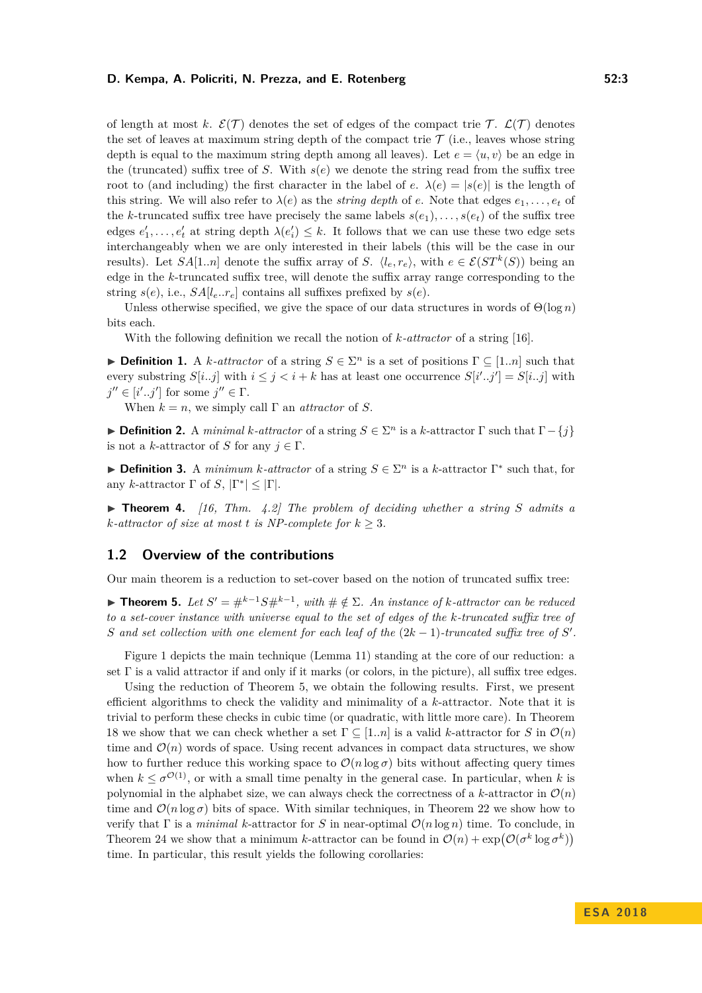of length at most k.  $\mathcal{E}(\mathcal{T})$  denotes the set of edges of the compact trie T.  $\mathcal{L}(\mathcal{T})$  denotes the set of leaves at maximum string depth of the compact trie  $\mathcal T$  (i.e., leaves whose string depth is equal to the maximum string depth among all leaves). Let  $e = \langle u, v \rangle$  be an edge in the (truncated) suffix tree of *S*. With  $s(e)$  we denote the string read from the suffix tree root to (and including) the first character in the label of *e*.  $\lambda(e) = |s(e)|$  is the length of this string. We will also refer to  $\lambda(e)$  as the *string depth* of *e*. Note that edges  $e_1, \ldots, e_t$  of the *k*-truncated suffix tree have precisely the same labels  $s(e_1), \ldots, s(e_t)$  of the suffix tree edges  $e'_1, \ldots, e'_t$  at string depth  $\lambda(e'_i) \leq k$ . It follows that we can use these two edge sets interchangeably when we are only interested in their labels (this will be the case in our results). Let  $SA[1..n]$  denote the suffix array of *S*.  $\langle l_e, r_e \rangle$ , with  $e \in \mathcal{E}(ST^k(S))$  being an edge in the *k*-truncated suffix tree, will denote the suffix array range corresponding to the string  $s(e)$ , i.e.,  $SA[l_e..r_e]$  contains all suffixes prefixed by  $s(e)$ .

Unless otherwise specified, we give the space of our data structures in words of  $\Theta(\log n)$ bits each.

With the following definition we recall the notion of *k-attractor* of a string [\[16\]](#page-12-4).

**Definition 1.** A *k*-attractor of a string  $S \in \Sigma^n$  is a set of positions  $\Gamma \subseteq [1..n]$  such that every substring  $S[i..j]$  with  $i \leq j < i+k$  has at least one occurrence  $S[i'..j'] = S[i..j]$  with  $j'' \in [i'..j']$  for some  $j'' \in \Gamma$ .

When  $k = n$ , we simply call  $\Gamma$  an *attractor* of *S*.

**Definition 2.** A *minimal k-attractor* of a string  $S \in \Sigma^n$  is a *k*-attractor Γ such that  $\Gamma - \{j\}$ is not a *k*-attractor of *S* for any  $j \in \Gamma$ .

**Definition 3.** A *minimum k-attractor* of a string  $S \in \Sigma^n$  is a *k*-attractor  $\Gamma^*$  such that, for any *k*-attractor  $\Gamma$  of  $S$ ,  $|\Gamma^*| \leq |\Gamma|$ .

 $\triangleright$  **Theorem 4.** [\[16,](#page-12-4) Thm. 4.2] The problem of deciding whether a string S admits a *k*-attractor of size at most *t* is NP-complete for  $k \geq 3$ .

## <span id="page-2-0"></span>**1.2 Overview of the contributions**

Our main theorem is a reduction to set-cover based on the notion of truncated suffix tree:

<span id="page-2-1"></span>**► Theorem 5.** Let  $S' = #^{k-1}S#^{k-1}$ , with  $# \notin \Sigma$ . An instance of *k*-attractor can be reduced *to a set-cover instance with universe equal to the set of edges of the k-truncated suffix tree of S* and set collection with one element for each leaf of the  $(2k-1)$ -truncated suffix tree of *S*'.

Figure [1](#page-3-1) depicts the main technique (Lemma [11\)](#page-3-2) standing at the core of our reduction: a set  $\Gamma$  is a valid attractor if and only if it marks (or colors, in the picture), all suffix tree edges.

Using the reduction of Theorem [5,](#page-2-1) we obtain the following results. First, we present efficient algorithms to check the validity and minimality of a *k*-attractor. Note that it is trivial to perform these checks in cubic time (or quadratic, with little more care). In Theorem [18](#page-7-0) we show that we can check whether a set  $\Gamma \subseteq [1..n]$  is a valid *k*-attractor for *S* in  $\mathcal{O}(n)$ time and  $\mathcal{O}(n)$  words of space. Using recent advances in compact data structures, we show how to further reduce this working space to  $\mathcal{O}(n \log \sigma)$  bits without affecting query times when  $k \leq \sigma^{O(1)}$ , or with a small time penalty in the general case. In particular, when k is polynomial in the alphabet size, we can always check the correctness of a *k*-attractor in  $\mathcal{O}(n)$ time and  $\mathcal{O}(n \log \sigma)$  bits of space. With similar techniques, in Theorem [22](#page-8-0) we show how to verify that  $\Gamma$  is a *minimal k*-attractor for *S* in near-optimal  $\mathcal{O}(n \log n)$  time. To conclude, in Theorem [24](#page-10-0) we show that a minimum *k*-attractor can be found in  $\mathcal{O}(n) + \exp(\mathcal{O}(\sigma^k \log \sigma^k))$ time. In particular, this result yields the following corollaries: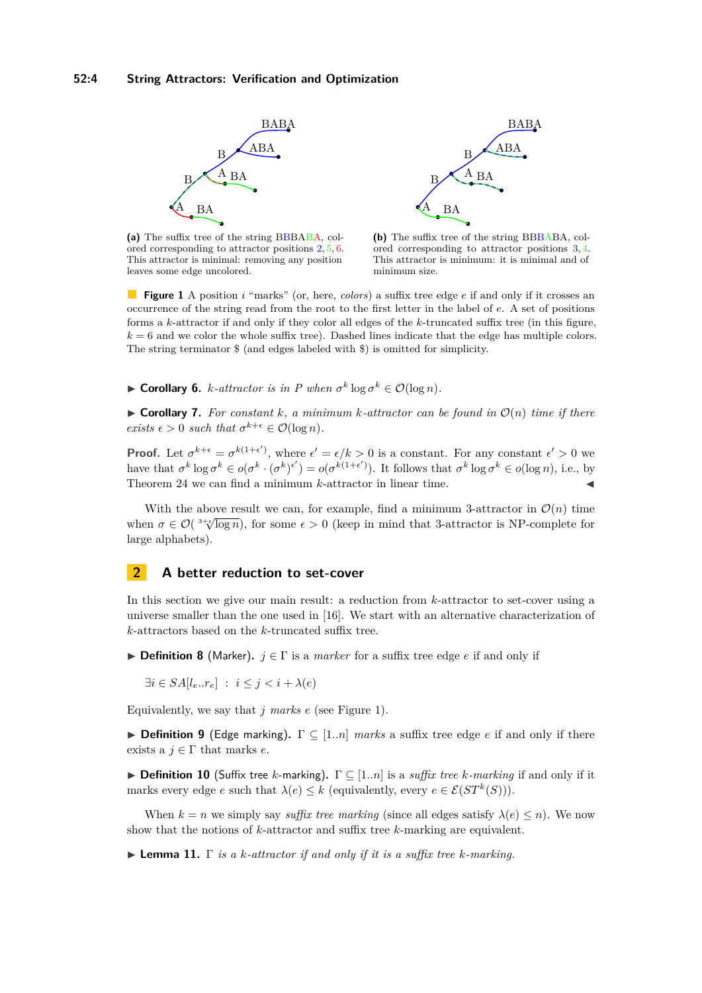<span id="page-3-1"></span>

**(a)** The suffix tree of the string BBBABA, colored corresponding to attractor positions 2*,* 5*,* 6. This attractor is minimal: removing any position leaves some edge uncolored.

**(b)** The suffix tree of the string BBBABA, colored corresponding to attractor positions 3*,* 4. This attractor is minimum: it is minimal and of minimum size.

**Figure 1** A position *i* "marks" (or, here, *colors*) a suffix tree edge *e* if and only if it crosses an occurrence of the string read from the root to the first letter in the label of *e*. A set of positions forms a *k*-attractor if and only if they color all edges of the *k*-truncated suffix tree (in this figure,  $k = 6$  and we color the whole suffix tree). Dashed lines indicate that the edge has multiple colors. The string terminator \$ (and edges labeled with \$) is omitted for simplicity.

 $\triangleright$  **Corollary 6.** *k*-attractor is in *P* when  $\sigma^k$  log  $\sigma^k$  ∈  $\mathcal{O}(\log n)$ .

 $\triangleright$  **Corollary 7.** For constant k, a minimum k-attractor can be found in  $\mathcal{O}(n)$  time if there *exists*  $\epsilon > 0$  *such that*  $\sigma^{k+\epsilon} \in \mathcal{O}(\log n)$ *.* 

**Proof.** Let  $\sigma^{k+\epsilon} = \sigma^{k(1+\epsilon')}$ , where  $\epsilon' = \epsilon/k > 0$  is a constant. For any constant  $\epsilon' > 0$  we have that  $\sigma^k \log \sigma^k \in o(\sigma^k \cdot (\sigma^k)^{\epsilon'}) = o(\sigma^{k(1+\epsilon')})$ . It follows that  $\sigma^k \log \sigma^k \in o(\log n)$ , i.e., by Theorem [24](#page-10-0) we can find a minimum  $k$ -attractor in linear time.

With the above result we can, for example, find a minimum 3-attractor in  $\mathcal{O}(n)$  time when  $\sigma \in \mathcal{O}(\sqrt[3+\epsilon]{\log n})$ , for some  $\epsilon > 0$  (keep in mind that 3-attractor is NP-complete for large alphabets).

## <span id="page-3-0"></span>**2 A better reduction to set-cover**

In this section we give our main result: a reduction from *k*-attractor to set-cover using a universe smaller than the one used in [\[16\]](#page-12-4). We start with an alternative characterization of *k*-attractors based on the *k*-truncated suffix tree.

<span id="page-3-4"></span>**Definition 8** (Marker).  $j \in \Gamma$  is a *marker* for a suffix tree edge *e* if and only if

$$
\exists i \in SA[l_e..r_e] \; : \; i \leq j < i + \lambda(e)
$$

Equivalently, we say that *j marks e* (see Figure [1\)](#page-3-1).

<span id="page-3-3"></span>**Definition 9** (Edge marking).  $\Gamma \subseteq [1..n]$  *marks* a suffix tree edge *e* if and only if there exists a  $j \in \Gamma$  that marks *e*.

**Definition 10** (Suffix tree *k*-marking).  $\Gamma \subset [1..n]$  is a *suffix tree k-marking* if and only if it marks every edge *e* such that  $\lambda(e) \leq k$  (equivalently, every  $e \in \mathcal{E}(ST^k(S))$ ).

When  $k = n$  we simply say *suffix tree marking* (since all edges satisfy  $\lambda(e) \leq n$ ). We now show that the notions of *k*-attractor and suffix tree *k*-marking are equivalent.

<span id="page-3-2"></span>I **Lemma 11.** Γ *is a k-attractor if and only if it is a suffix tree k-marking.*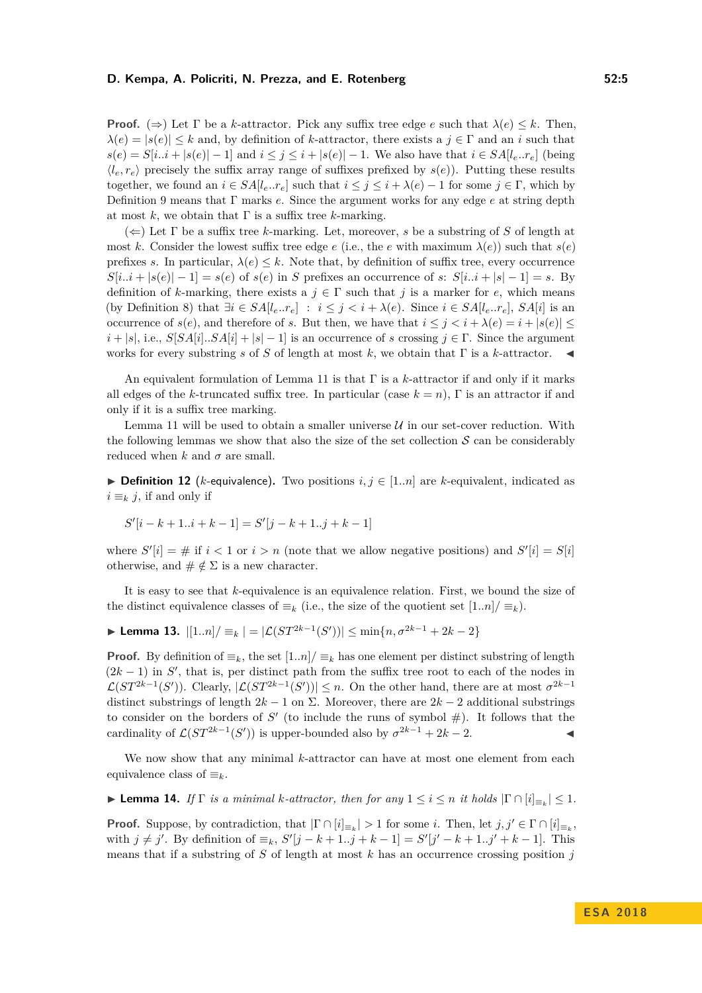**Proof.** ( $\Rightarrow$ ) Let Γ be a *k*-attractor. Pick any suffix tree edge *e* such that  $\lambda(e) \leq k$ . Then,  $\lambda(e) = |s(e)| \leq k$  and, by definition of *k*-attractor, there exists a  $j \in \Gamma$  and an *i* such that  $s(e) = S[i..i + |s(e)| - 1]$  and  $i \leq j \leq i + |s(e)| - 1$ . We also have that  $i \in S_A[i_e..r_e]$  (being  $\langle l_e, r_e \rangle$  precisely the suffix array range of suffixes prefixed by  $s(e)$ ). Putting these results together, we found an  $i \in SA[l_e..r_e]$  such that  $i \leq j \leq i + \lambda(e) - 1$  for some  $j \in \Gamma$ , which by Definition [9](#page-3-3) means that Γ marks *e*. Since the argument works for any edge *e* at string depth at most  $k$ , we obtain that  $\Gamma$  is a suffix tree  $k$ -marking.

 $(\Leftarrow)$  Let  $\Gamma$  be a suffix tree *k*-marking. Let, moreover, *s* be a substring of *S* of length at most *k*. Consider the lowest suffix tree edge *e* (i.e., the *e* with maximum  $\lambda(e)$ ) such that  $s(e)$ prefixes *s*. In particular,  $\lambda(e) \leq k$ . Note that, by definition of suffix tree, every occurrence  $S[i..i + |s(e)| - 1] = s(e)$  of  $s(e)$  in *S* prefixes an occurrence of *s*:  $S[i..i + |s| - 1] = s$ . By definition of *k*-marking, there exists a  $j \in \Gamma$  such that *j* is a marker for *e*, which means (by Definition [8\)](#page-3-4) that  $\exists i \in SA[l_e..r_e] : i \leq j < i + \lambda(e)$ . Since  $i \in SA[l_e..r_e]$ ,  $SA[i]$  is an occurrence of  $s(e)$ , and therefore of *s*. But then, we have that  $i \leq j \leq i + \lambda(e) = i + |s(e)| \leq$  $i + |s|$ , i.e.,  $S[SA[i]...SA[i] + |s| - 1]$  is an occurrence of *s* crossing  $j \in \Gamma$ . Since the argument works for every substring *s* of *S* of length at most *k*, we obtain that  $\Gamma$  is a *k*-attractor.

An equivalent formulation of Lemma [11](#page-3-2) is that Γ is a *k*-attractor if and only if it marks all edges of the *k*-truncated suffix tree. In particular (case  $k = n$ ),  $\Gamma$  is an attractor if and only if it is a suffix tree marking.

Lemma [11](#page-3-2) will be used to obtain a smaller universe  $U$  in our set-cover reduction. With the following lemmas we show that also the size of the set collection  $S$  can be considerably reduced when  $k$  and  $\sigma$  are small.

▶ **Definition 12** (*k*-equivalence). Two positions  $i, j \in [1..n]$  are *k*-equivalent, indicated as  $i \equiv_k i$ , if and only if

$$
S'[i-k+1..i+k-1] = S'[j-k+1..j+k-1]
$$

where  $S'[i] = #$  if  $i < 1$  or  $i > n$  (note that we allow negative positions) and  $S'[i] = S[i]$ otherwise, and  $\# \notin \Sigma$  is a new character.

It is easy to see that *k*-equivalence is an equivalence relation. First, we bound the size of the distinct equivalence classes of  $\equiv_k$  (i.e., the size of the quotient set  $[1..n]/\equiv_k$ ).

<span id="page-4-1"></span> $\blacktriangleright$  Lemma 13.  $|[1..n]/ \equiv k | = |\mathcal{L}(ST^{2k-1}(S'))| ≤ min\{n, \sigma^{2k-1} + 2k - 2\}$ 

**Proof.** By definition of  $\equiv_k$ , the set  $[1..n]/\equiv_k$  has one element per distinct substring of length  $(2k-1)$  in *S*<sup> $\prime$ </sup>, that is, per distinct path from the suffix tree root to each of the nodes in  $\mathcal{L}(ST^{2k-1}(S'))$ . Clearly,  $|\mathcal{L}(ST^{2k-1}(S'))| \leq n$ . On the other hand, there are at most  $\sigma^{2k-1}$ distinct substrings of length  $2k - 1$  on  $\Sigma$ . Moreover, there are  $2k - 2$  additional substrings to consider on the borders of  $S'$  (to include the runs of symbol  $#$ ). It follows that the cardinality of  $\mathcal{L}(ST^{2k-1}(S'))$  is upper-bounded also by  $\sigma^{2k-1} + 2k - 2$ .

We now show that any minimal *k*-attractor can have at most one element from each equivalence class of  $\equiv_k$ .

<span id="page-4-0"></span>► **Lemma 14.** *If*  $\Gamma$  *is a minimal k-attractor, then for any*  $1 \leq i \leq n$  *it holds*  $|\Gamma \cap [i]_{\equiv k}| \leq 1$ *.* 

**Proof.** Suppose, by contradiction, that  $|\Gamma \cap [i]_{\equiv k}| > 1$  for some *i*. Then, let  $j, j' \in \Gamma \cap [i]_{\equiv k}$ , with  $j \neq j'$ . By definition of  $\equiv_k$ ,  $S'[j - k + 1..j + k - 1] = S'[j' - k + 1..j' + k - 1]$ . This means that if a substring of *S* of length at most *k* has an occurrence crossing position *j*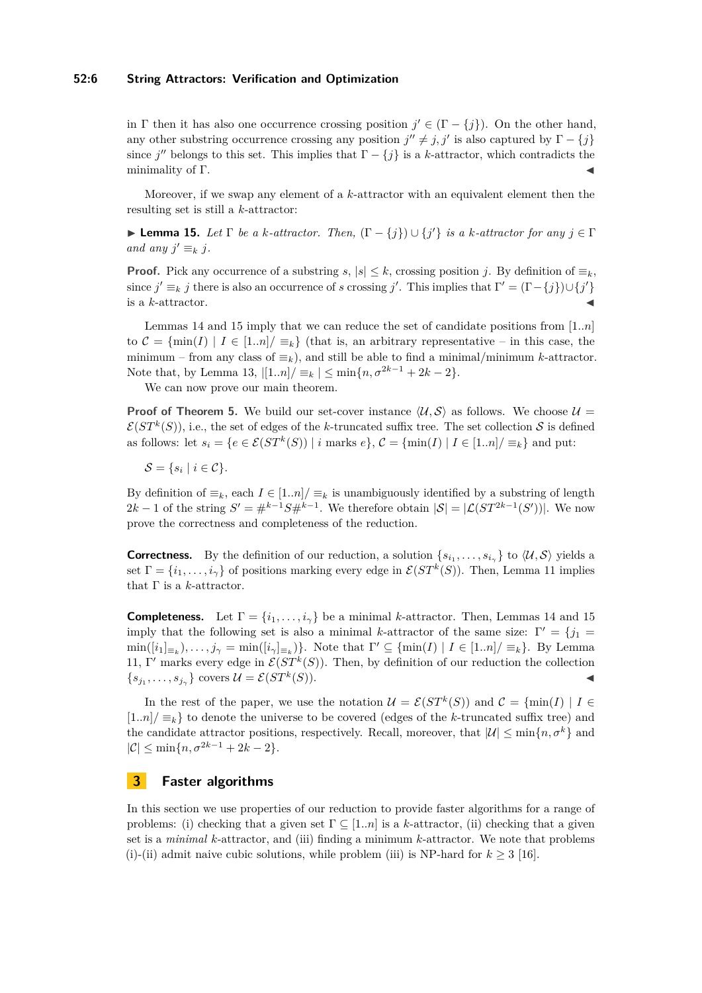#### **52:6 String Attractors: Verification and Optimization**

in Γ then it has also one occurrence crossing position  $j' \in (\Gamma - \{j\})$ . On the other hand, any other substring occurrence crossing any position  $j'' \neq j, j'$  is also captured by  $\Gamma - \{j\}$ since *j*<sup>"</sup> belongs to this set. This implies that  $\Gamma - \{j\}$  is a *k*-attractor, which contradicts the minimality of  $\Gamma$ .

Moreover, if we swap any element of a *k*-attractor with an equivalent element then the resulting set is still a *k*-attractor:

<span id="page-5-1"></span> $\blacktriangleright$  **Lemma 15.** *Let* Γ *be a k-attractor. Then,*  $(Γ - {j}) ∪ {j'}$  *is a k-attractor for any*  $j ∈ Γ$ *and any*  $j' \equiv_k j$ .

**Proof.** Pick any occurrence of a substring  $s, |s| \leq k$ , crossing position *j*. By definition of  $\equiv_k$ , since  $j' \equiv_k j$  there is also an occurrence of *s* crossing *j'*. This implies that  $\Gamma' = (\Gamma - \{j\}) \cup \{j'\}$ is a  $k$ -attractor.

Lemmas [14](#page-4-0) and [15](#page-5-1) imply that we can reduce the set of candidate positions from [1*..n*] to  $\mathcal{C} = \{\min(I) | I \in [1..n] / \equiv_k\}$  (that is, an arbitrary representative – in this case, the minimum – from any class of  $\equiv_k$ ), and still be able to find a minimal/minimum *k*-attractor. Note that, by Lemma [13,](#page-4-1)  $|[1..n]/ \equiv_k |\leq \min\{n, \sigma^{2k-1} + 2k - 2\}.$ 

We can now prove our main theorem.

**Proof of Theorem [5.](#page-2-1)** We build our set-cover instance  $\langle U, S \rangle$  as follows. We choose  $U =$  $\mathcal{E}(ST^k(S))$ , i.e., the set of edges of the *k*-truncated suffix tree. The set collection S is defined as follows: let  $s_i = \{e \in \mathcal{E}(ST^k(S)) \mid i \text{ marks } e\}, \mathcal{C} = \{\min(I) \mid I \in [1..n] / \equiv_k\}$  and put:

$$
\mathcal{S} = \{ s_i \mid i \in \mathcal{C} \}.
$$

By definition of  $\equiv_k$ , each  $I \in [1..n]/\equiv_k$  is unambiguously identified by a substring of length  $2k-1$  of the string  $S' = \#^{k-1}S\#^{k-1}$ . We therefore obtain  $|S| = |\mathcal{L}(ST^{2k-1}(S'))|$ . We now prove the correctness and completeness of the reduction.

**Correctness.** By the definition of our reduction, a solution  $\{s_{i_1},...,s_{i_\gamma}\}\)$  to  $\langle \mathcal{U}, \mathcal{S} \rangle$  yields a set  $\Gamma = \{i_1, \ldots, i_{\gamma}\}\$  of positions marking every edge in  $\mathcal{E}(ST^k(S))$ . Then, Lemma [11](#page-3-2) implies that  $\Gamma$  is a  $k\text{-}attractor.$ 

**Completeness.** Let  $\Gamma = \{i_1, \ldots, i_{\gamma}\}\$  be a minimal *k*-attractor. Then, Lemmas [14](#page-4-0) and [15](#page-5-1) imply that the following set is also a minimal *k*-attractor of the same size:  $\Gamma' = \{j_1 =$  $\min([i_1]_{\equiv_k}), \ldots, j_\gamma = \min([i_\gamma]_{\equiv_k})\}.$  Note that  $\Gamma' \subseteq \{\min(I) \mid I \in [1..n]/\equiv_k\}.$  By Lemma [11,](#page-3-2) Γ' marks every edge in  $\mathcal{E}(ST^k(S))$ . Then, by definition of our reduction the collection  ${s_{j_1}, \ldots, s_{j_{\gamma}}}$ } covers  $\mathcal{U} = \mathcal{E}(ST^k)$ (*S*)). J

In the rest of the paper, we use the notation  $\mathcal{U} = \mathcal{E}(ST^k(S))$  and  $\mathcal{C} = \{\min(I) | I \in$  $[1..n]$ / $\equiv_k$ } to denote the universe to be covered (edges of the *k*-truncated suffix tree) and the candidate attractor positions, respectively. Recall, moreover, that  $|\mathcal{U}| \le \min\{n, \sigma^k\}$  and  $|\mathcal{C}| \leq \min\{n, \sigma^{2k-1} + 2k - 2\}.$ 

## <span id="page-5-0"></span>**3 Faster algorithms**

In this section we use properties of our reduction to provide faster algorithms for a range of problems: (i) checking that a given set  $\Gamma \subset [1..n]$  is a *k*-attractor, (ii) checking that a given set is a *minimal k*-attractor, and (iii) finding a minimum *k*-attractor. We note that problems (i)-(ii) admit naive cubic solutions, while problem (iii) is NP-hard for  $k \geq 3$  [\[16\]](#page-12-4).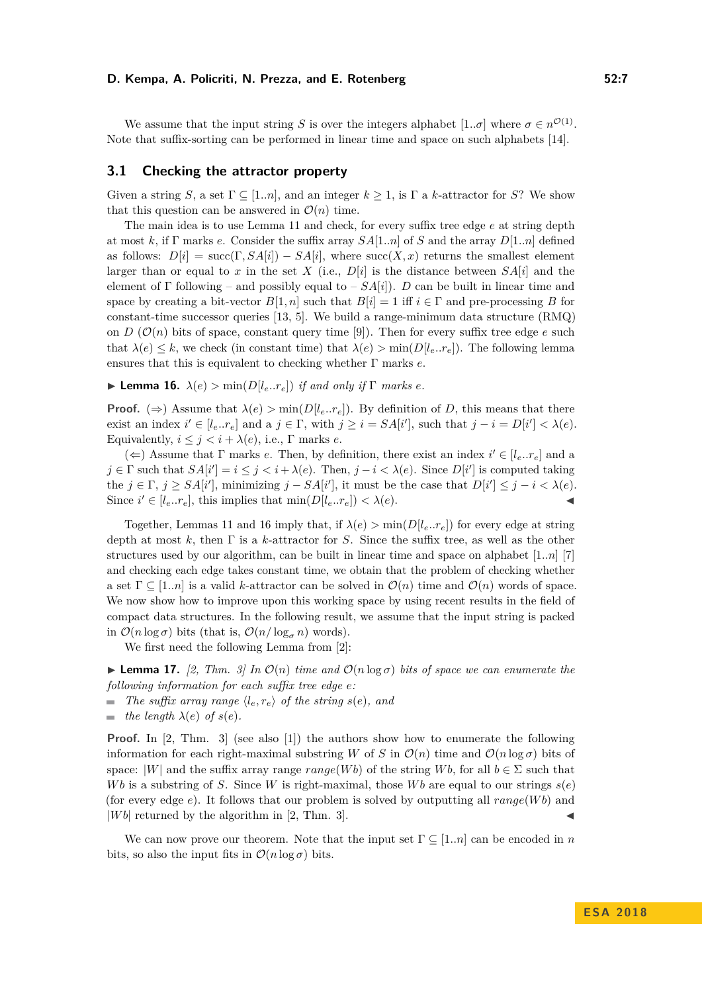We assume that the input string *S* is over the integers alphabet  $[1..\sigma]$  where  $\sigma \in n^{\mathcal{O}(1)}$ . Note that suffix-sorting can be performed in linear time and space on such alphabets [\[14\]](#page-12-9).

#### **3.1 Checking the attractor property**

Given a string *S*, a set  $\Gamma \subseteq [1..n]$ , and an integer  $k \geq 1$ , is  $\Gamma$  a *k*-attractor for *S*? We show that this question can be answered in  $\mathcal{O}(n)$  time.

The main idea is to use Lemma [11](#page-3-2) and check, for every suffix tree edge *e* at string depth at most *k*, if Γ marks *e*. Consider the suffix array *SA*[1*..n*] of *S* and the array *D*[1*..n*] defined as follows:  $D[i] = \text{succ}(\Gamma, SA[i]) - SA[i]$ , where  $\text{succ}(X, x)$  returns the smallest element larger than or equal to *x* in the set *X* (i.e.,  $D[i]$  is the distance between  $SA[i]$  and the element of Γ following – and possibly equal to –  $SA[i]$ ). *D* can be built in linear time and space by creating a bit-vector  $B[1, n]$  such that  $B[i] = 1$  iff  $i \in \Gamma$  and pre-processing *B* for constant-time successor queries [\[13,](#page-12-10) [5\]](#page-11-4). We build a range-minimum data structure (RMQ) on *D* ( $\mathcal{O}(n)$  bits of space, constant query time [\[9\]](#page-11-5)). Then for every suffix tree edge *e* such that  $\lambda(e) \leq k$ , we check (in constant time) that  $\lambda(e) > \min(D[l_e..r_e])$ . The following lemma ensures that this is equivalent to checking whether Γ marks *e*.

<span id="page-6-0"></span> $\blacktriangleright$  **Lemma 16.**  $\lambda(e) > \min(D[l_e..r_e])$  *if and only if*  $\Gamma$  *marks e.* 

**Proof.** ( $\Rightarrow$ ) Assume that  $\lambda(e) > \min(D[l_e..r_e])$ . By definition of *D*, this means that there exist an index  $i' \in [l_e..r_e]$  and a  $j \in \Gamma$ , with  $j \ge i = SA[i']$ , such that  $j - i = D[i'] < \lambda(e)$ . Equivalently,  $i \leq j < i + \lambda(e)$ , i.e.,  $\Gamma$  marks *e*.

 $(\Leftarrow)$  Assume that  $\Gamma$  marks *e*. Then, by definition, there exist an index  $i' \in [l_e..r_e]$  and a  $j \in \Gamma$  such that  $SA[i'] = i \leq j < i + \lambda(e)$ . Then,  $j - i < \lambda(e)$ . Since  $D[i']$  is computed taking the  $j \in \Gamma$ ,  $j \ge SA[i']$ , minimizing  $j - SA[i']$ , it must be the case that  $D[i'] \le j - i < \lambda(e)$ . Since  $i' \in [l_e..r_e]$ , this implies that  $\min(D[l_e..r_e]) < \lambda(e)$ .

Together, Lemmas [11](#page-3-2) and [16](#page-6-0) imply that, if  $\lambda(e) > \min(D[l_e..r_e])$  for every edge at string depth at most *k*, then Γ is a *k*-attractor for *S*. Since the suffix tree, as well as the other structures used by our algorithm, can be built in linear time and space on alphabet [1*..n*] [\[7\]](#page-11-6) and checking each edge takes constant time, we obtain that the problem of checking whether a set  $\Gamma \subseteq [1..n]$  is a valid *k*-attractor can be solved in  $\mathcal{O}(n)$  time and  $\mathcal{O}(n)$  words of space. We now show how to improve upon this working space by using recent results in the field of compact data structures. In the following result, we assume that the input string is packed in  $\mathcal{O}(n \log \sigma)$  bits (that is,  $\mathcal{O}(n/\log_{\sigma} n)$  words).

We first need the following Lemma from [\[2\]](#page-11-7):

<span id="page-6-1"></span>**Lemma 17.** [\[2,](#page-11-7) Thm. 3] In  $\mathcal{O}(n)$  time and  $\mathcal{O}(n \log \sigma)$  bits of space we can enumerate the *following information for each suffix tree edge e:*

- $\blacksquare$  *The suffix array range*  $\langle l_e, r_e \rangle$  *of the string s*(*e*)*, and*
- $\blacksquare$  *the length*  $\lambda(e)$  *of*  $s(e)$ *.*

**Proof.** In [\[2,](#page-11-7) Thm. 3] (see also [\[1\]](#page-11-8)) the authors show how to enumerate the following information for each right-maximal substring *W* of *S* in  $\mathcal{O}(n)$  time and  $\mathcal{O}(n \log \sigma)$  bits of space:  $|W|$  and the suffix array range  $range(Wb)$  of the string  $Wb$ , for all  $b \in \Sigma$  such that *Wb* is a substring of *S*. Since *W* is right-maximal, those *Wb* are equal to our strings  $s(e)$ (for every edge *e*). It follows that our problem is solved by outputting all *range*(*W b*) and  $|Wb|$  returned by the algorithm in [\[2,](#page-11-7) Thm. 3].

We can now prove our theorem. Note that the input set  $\Gamma \subseteq [1..n]$  can be encoded in *n* bits, so also the input fits in  $\mathcal{O}(n \log \sigma)$  bits.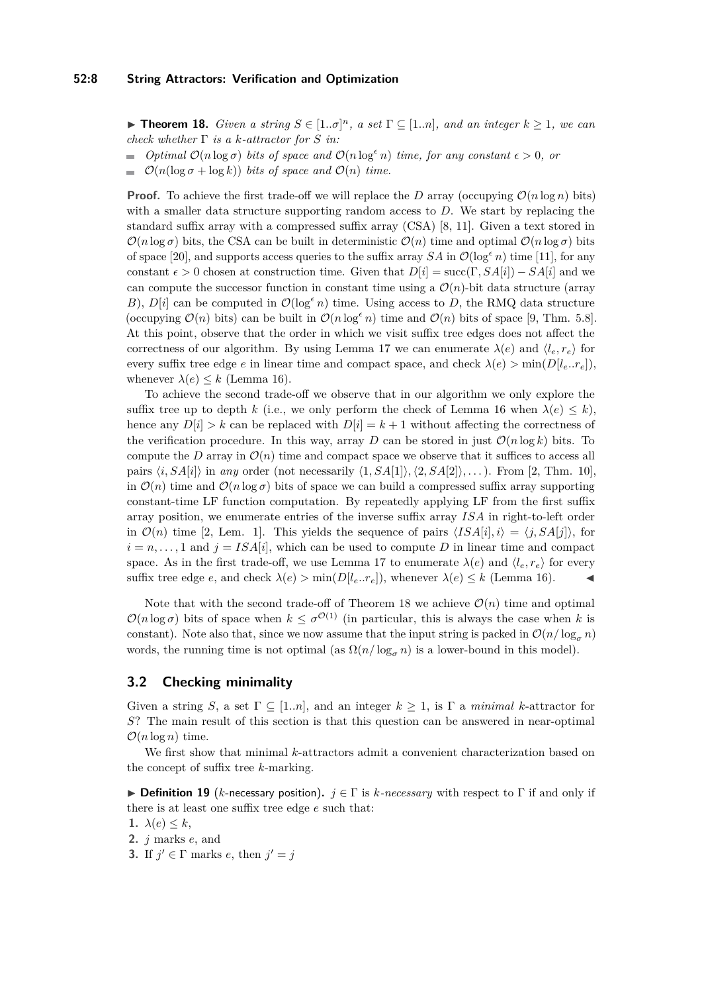<span id="page-7-0"></span>**► Theorem 18.** *Given a string*  $S \in [1..\sigma]^n$ *, a set*  $\Gamma \subseteq [1..n]$ *, and an integer*  $k \ge 1$ *, we can check whether* Γ *is a k-attractor for S in:*

- *Optimal*  $\mathcal{O}(n \log \sigma)$  *bits of space and*  $\mathcal{O}(n \log^{\epsilon} n)$  *time, for any constant*  $\epsilon > 0$ *, or*  $\blacksquare$
- $\mathcal{O}(n(\log \sigma + \log k))$  *bits of space and*  $\mathcal{O}(n)$  *time.*

**Proof.** To achieve the first trade-off we will replace the *D* array (occupying  $\mathcal{O}(n \log n)$  bits) with a smaller data structure supporting random access to *D*. We start by replacing the standard suffix array with a compressed suffix array (CSA) [\[8,](#page-11-9) [11\]](#page-12-11). Given a text stored in  $\mathcal{O}(n \log \sigma)$  bits, the CSA can be built in deterministic  $\mathcal{O}(n)$  time and optimal  $\mathcal{O}(n \log \sigma)$  bits of space [\[20\]](#page-12-12), and supports access queries to the suffix array  $SA$  in  $\mathcal{O}(\log^{\epsilon} n)$  time [\[11\]](#page-12-11), for any constant  $\epsilon > 0$  chosen at construction time. Given that  $D[i] = \text{succ}(\Gamma, SA[i]) - SA[i]$  and we can compute the successor function in constant time using a  $\mathcal{O}(n)$ -bit data structure (array *B*),  $D[i]$  can be computed in  $\mathcal{O}(\log^{\epsilon} n)$  time. Using access to *D*, the RMQ data structure (occupying  $\mathcal{O}(n)$  bits) can be built in  $\mathcal{O}(n \log^{\epsilon} n)$  time and  $\mathcal{O}(n)$  bits of space [\[9,](#page-11-5) Thm. 5.8]. At this point, observe that the order in which we visit suffix tree edges does not affect the correctness of our algorithm. By using Lemma [17](#page-6-1) we can enumerate  $\lambda(e)$  and  $\langle l_e, r_e \rangle$  for every suffix tree edge *e* in linear time and compact space, and check  $\lambda(e) > \min(D[l_e..r_e]),$ whenever  $\lambda(e) \leq k$  (Lemma [16\)](#page-6-0).

To achieve the second trade-off we observe that in our algorithm we only explore the suffix tree up to depth *k* (i.e., we only perform the check of Lemma [16](#page-6-0) when  $\lambda(e) \leq k$ ), hence any  $D[i] > k$  can be replaced with  $D[i] = k + 1$  without affecting the correctness of the verification procedure. In this way, array *D* can be stored in just  $\mathcal{O}(n \log k)$  bits. To compute the *D* array in  $\mathcal{O}(n)$  time and compact space we observe that it suffices to access all pairs  $\langle i, SA[i] \rangle$  in *any* order (not necessarily  $\langle 1, SA[1] \rangle$ ,  $\langle 2, SA[2] \rangle$ , ...). From [\[2,](#page-11-7) Thm. 10], in  $\mathcal{O}(n)$  time and  $\mathcal{O}(n \log \sigma)$  bits of space we can build a compressed suffix array supporting constant-time LF function computation. By repeatedly applying LF from the first suffix array position, we enumerate entries of the inverse suffix array *ISA* in right-to-left order in  $\mathcal{O}(n)$  time [\[2,](#page-11-7) Lem. 1]. This yields the sequence of pairs  $\langle ISA[i], i \rangle = \langle j, SA[i] \rangle$ , for  $i = n, \ldots, 1$  and  $j = ISA[i]$ , which can be used to compute *D* in linear time and compact space. As in the first trade-off, we use Lemma [17](#page-6-1) to enumerate  $\lambda(e)$  and  $\langle l_e, r_e \rangle$  for every suffix tree edge *e*, and check  $\lambda(e) > \min(D[l_e..r_e]),$  whenever  $\lambda(e) \leq k$  (Lemma [16\)](#page-6-0).

Note that with the second trade-off of Theorem [18](#page-7-0) we achieve  $\mathcal{O}(n)$  time and optimal  $\mathcal{O}(n \log \sigma)$  bits of space when  $k \leq \sigma^{\mathcal{O}(1)}$  (in particular, this is always the case when k is constant). Note also that, since we now assume that the input string is packed in  $\mathcal{O}(n/\log_{\sigma} n)$ words, the running time is not optimal (as  $\Omega(n/\log_{\sigma} n)$  is a lower-bound in this model).

## **3.2 Checking minimality**

Given a string *S*, a set  $\Gamma \subseteq [1..n]$ , and an integer  $k \geq 1$ , is  $\Gamma$  a *minimal k*-attractor for *S*? The main result of this section is that this question can be answered in near-optimal  $\mathcal{O}(n \log n)$  time.

We first show that minimal *k*-attractors admit a convenient characterization based on the concept of suffix tree *k*-marking.

<span id="page-7-1"></span>**Definition 19** (*k*-necessary position).  $j \in \Gamma$  is *k*-necessary with respect to  $\Gamma$  if and only if there is at least one suffix tree edge *e* such that:

- 1.  $\lambda(e) \leq k$ ,
- **2.** *j* marks *e*, and
- **3.** If  $j' \in \Gamma$  marks *e*, then  $j' = j$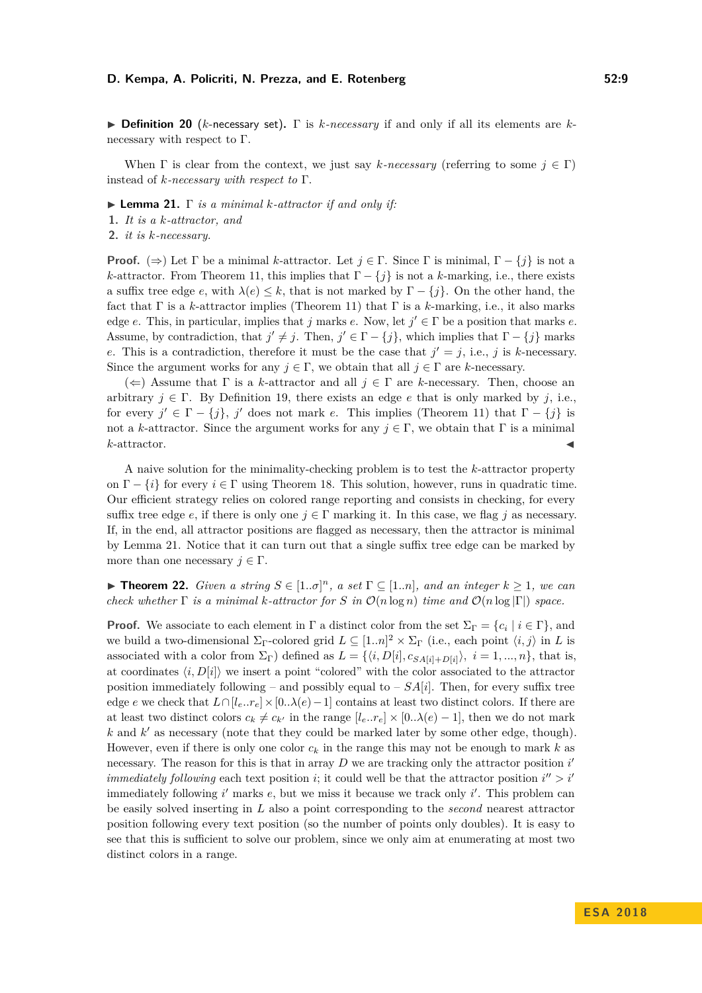I **Definition 20** (*k*-necessary set)**.** Γ is *k-necessary* if and only if all its elements are *k*necessary with respect to Γ.

When  $\Gamma$  is clear from the context, we just say *k*-necessary (referring to some  $j \in \Gamma$ ) instead of *k-necessary with respect to* Γ.

<span id="page-8-1"></span>I **Lemma 21.** Γ *is a minimal k-attractor if and only if:*

- **1.** *It is a k-attractor, and*
- **2.** *it is k-necessary.*

**Proof.** ( $\Rightarrow$ ) Let  $\Gamma$  be a minimal *k*-attractor. Let  $j \in \Gamma$ . Since  $\Gamma$  is minimal,  $\Gamma - \{j\}$  is not a *k*-attractor. From Theorem [11,](#page-3-2) this implies that  $\Gamma - \{j\}$  is not a *k*-marking, i.e., there exists a suffix tree edge *e*, with  $\lambda(e) \leq k$ , that is not marked by  $\Gamma - \{j\}$ . On the other hand, the fact that Γ is a *k*-attractor implies (Theorem [11\)](#page-3-2) that Γ is a *k*-marking, i.e., it also marks edge *e*. This, in particular, implies that *j* marks *e*. Now, let  $j' \in \Gamma$  be a position that marks *e*. Assume, by contradiction, that  $j' \neq j$ . Then,  $j' \in \Gamma - \{j\}$ , which implies that  $\Gamma - \{j\}$  marks *e*. This is a contradiction, therefore it must be the case that  $j' = j$ , i.e., *j* is *k*-necessary. Since the argument works for any  $j \in \Gamma$ , we obtain that all  $j \in \Gamma$  are *k*-necessary.

 $(\Leftarrow)$  Assume that  $\Gamma$  is a *k*-attractor and all  $j \in \Gamma$  are *k*-necessary. Then, choose an arbitrary  $j \in \Gamma$ . By Definition [19,](#page-7-1) there exists an edge *e* that is only marked by *j*, i.e., for every  $j' \in \Gamma - \{j\}$ ,  $j'$  does not mark *e*. This implies (Theorem [11\)](#page-3-2) that  $\Gamma - \{j\}$  is not a *k*-attractor. Since the argument works for any  $j \in \Gamma$ , we obtain that  $\Gamma$  is a minimal  $k$ -attractor.

A naive solution for the minimality-checking problem is to test the *k*-attractor property on  $\Gamma - \{i\}$  for every  $i \in \Gamma$  using Theorem [18.](#page-7-0) This solution, however, runs in quadratic time. Our efficient strategy relies on colored range reporting and consists in checking, for every suffix tree edge *e*, if there is only one  $j \in \Gamma$  marking it. In this case, we flag *j* as necessary. If, in the end, all attractor positions are flagged as necessary, then the attractor is minimal by Lemma [21.](#page-8-1) Notice that it can turn out that a single suffix tree edge can be marked by more than one necessary  $j \in \Gamma$ .

<span id="page-8-0"></span>**► Theorem 22.** *Given a string*  $S \in [1..\sigma]^n$ *, a set*  $\Gamma \subseteq [1..n]$ *, and an integer*  $k \ge 1$ *, we can check whether*  $\Gamma$  *is a minimal k-attractor for*  $S$  *in*  $\mathcal{O}(n \log n)$  *time and*  $\mathcal{O}(n \log |\Gamma|)$  *space.* 

**Proof.** We associate to each element in Γ a distinct color from the set  $\Sigma_{\Gamma} = \{c_i \mid i \in \Gamma\}$ , and we build a two-dimensional  $\Sigma_{\Gamma}$ -colored grid  $L \subseteq [1..n]^2 \times \Sigma_{\Gamma}$  (i.e., each point  $\langle i, j \rangle$  in *L* is associated with a color from  $\Sigma_{\Gamma}$ ) defined as  $L = \{(i, D[i], c_{SA[i] + D[i]}\}, i = 1, ..., n\}$ , that is, at coordinates  $\langle i, D[i] \rangle$  we insert a point "colored" with the color associated to the attractor position immediately following – and possibly equal to –  $SA[i]$ . Then, for every suffix tree edge *e* we check that  $L \cap [l_e, r_e] \times [0, \lambda(e) - 1]$  contains at least two distinct colors. If there are at least two distinct colors  $c_k \neq c_{k'}$  in the range  $[l_e..r_e] \times [0..\lambda(e) - 1]$ , then we do not mark  $k$  and  $k'$  as necessary (note that they could be marked later by some other edge, though). However, even if there is only one color  $c_k$  in the range this may not be enough to mark  $k$  as necessary. The reason for this is that in array *D* we are tracking only the attractor position *i immediately following* each text position *i*; it could well be that the attractor position  $i'' > i'$ immediately following *i*' marks *e*, but we miss it because we track only *i*'. This problem can be easily solved inserting in *L* also a point corresponding to the *second* nearest attractor position following every text position (so the number of points only doubles). It is easy to see that this is sufficient to solve our problem, since we only aim at enumerating at most two distinct colors in a range.

**E S A 2 0 1 8**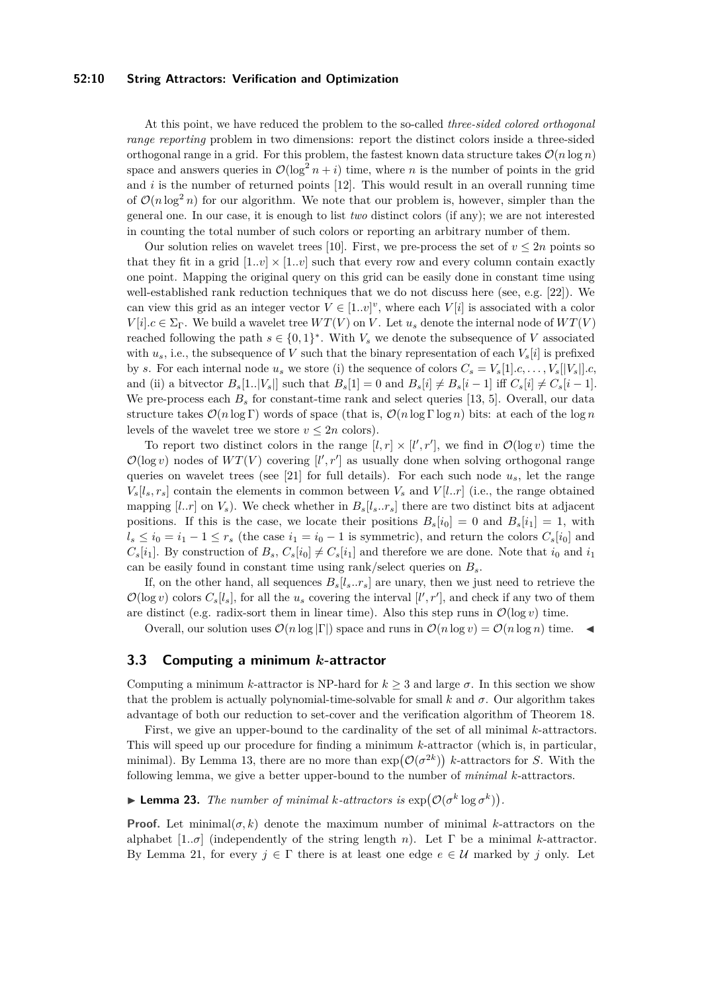#### **52:10 String Attractors: Verification and Optimization**

At this point, we have reduced the problem to the so-called *three-sided colored orthogonal range reporting* problem in two dimensions: report the distinct colors inside a three-sided orthogonal range in a grid. For this problem, the fastest known data structure takes  $\mathcal{O}(n \log n)$ space and answers queries in  $\mathcal{O}(\log^2 n + i)$  time, where *n* is the number of points in the grid and *i* is the number of returned points [\[12\]](#page-12-13). This would result in an overall running time of  $\mathcal{O}(n \log^2 n)$  for our algorithm. We note that our problem is, however, simpler than the general one. In our case, it is enough to list *two* distinct colors (if any); we are not interested in counting the total number of such colors or reporting an arbitrary number of them.

Our solution relies on wavelet trees [\[10\]](#page-12-7). First, we pre-process the set of  $v \leq 2n$  points so that they fit in a grid  $[1..v] \times [1..v]$  such that every row and every column contain exactly one point. Mapping the original query on this grid can be easily done in constant time using well-established rank reduction techniques that we do not discuss here (see, e.g. [\[22\]](#page-12-14)). We can view this grid as an integer vector  $V \in [1..v]^v$ , where each  $V[i]$  is associated with a color  $V[i].c \in \Sigma_{\Gamma}$ . We build a wavelet tree  $WT(V)$  on *V*. Let  $u_s$  denote the internal node of  $WT(V)$ reached following the path  $s \in \{0,1\}^*$ . With  $V_s$  we denote the subsequence of V associated with  $u_s$ , i.e., the subsequence of *V* such that the binary representation of each  $V_s[i]$  is prefixed by *s*. For each internal node  $u_s$  we store (i) the sequence of colors  $C_s = V_s[1] \cdot c, \ldots, V_s[[V_s]] \cdot c$ and (ii) a bityector  $B_s[1..|V_s|]$  such that  $B_s[1] = 0$  and  $B_s[i] \neq B_s[i-1]$  iff  $C_s[i] \neq C_s[i-1]$ . We pre-process each  $B_s$  for constant-time rank and select queries [\[13,](#page-12-10) [5\]](#page-11-4). Overall, our data structure takes  $\mathcal{O}(n \log \Gamma)$  words of space (that is,  $\mathcal{O}(n \log \Gamma \log n)$  bits: at each of the log *n* levels of the wavelet tree we store  $v \leq 2n$  colors).

To report two distinct colors in the range  $[l, r] \times [l', r']$ , we find in  $\mathcal{O}(\log v)$  time the  $\mathcal{O}(\log v)$  nodes of  $WT(V)$  covering  $[l', r']$  as usually done when solving orthogonal range queries on wavelet trees (see [\[21\]](#page-12-8) for full details). For each such node  $u_s$ , let the range  $V_s[l_s, r_s]$  contain the elements in common between  $V_s$  and  $V[l..r]$  (i.e., the range obtained mapping  $[l..r]$  on  $V_s$ ). We check whether in  $B_s[l_s..r_s]$  there are two distinct bits at adjacent positions. If this is the case, we locate their positions  $B_s[i_0] = 0$  and  $B_s[i_1] = 1$ , with  $l_s \le i_0 = i_1 - 1 \le r_s$  (the case  $i_1 = i_0 - 1$  is symmetric), and return the colors  $C_s[i_0]$  and  $C_s[i_1]$ . By construction of  $B_s$ ,  $C_s[i_0] \neq C_s[i_1]$  and therefore we are done. Note that  $i_0$  and  $i_1$ can be easily found in constant time using rank/select queries on *Bs*.

If, on the other hand, all sequences  $B_s[l_s..r_s]$  are unary, then we just need to retrieve the  $\mathcal{O}(\log v)$  colors  $C_s[l_s]$ , for all the  $u_s$  covering the interval  $[l', r']$ , and check if any two of them are distinct (e.g. radix-sort them in linear time). Also this step runs in  $\mathcal{O}(\log v)$  time.

Overall, our solution uses  $\mathcal{O}(n \log |\Gamma|)$  space and runs in  $\mathcal{O}(n \log v) = \mathcal{O}(n \log n)$  time.

## **3.3 Computing a minimum** *k***-attractor**

Computing a minimum *k*-attractor is NP-hard for  $k \geq 3$  and large  $\sigma$ . In this section we show that the problem is actually polynomial-time-solvable for small  $k$  and  $\sigma$ . Our algorithm takes advantage of both our reduction to set-cover and the verification algorithm of Theorem [18.](#page-7-0)

First, we give an upper-bound to the cardinality of the set of all minimal *k*-attractors. This will speed up our procedure for finding a minimum *k*-attractor (which is, in particular, minimal). By Lemma [13,](#page-4-1) there are no more than  $\exp(\mathcal{O}(\sigma^{2k}))$  k-attractors for *S*. With the following lemma, we give a better upper-bound to the number of *minimal k*-attractors.

<span id="page-9-0"></span>**Example 13.** The number of minimal *k*-attractors is  $\exp(\mathcal{O}(\sigma^k \log \sigma^k))$ .

**Proof.** Let minimal( $\sigma$ , k) denote the maximum number of minimal k-attractors on the alphabet [1*..σ*] (independently of the string length *n*). Let Γ be a minimal *k*-attractor. By Lemma [21,](#page-8-1) for every  $j \in \Gamma$  there is at least one edge  $e \in \mathcal{U}$  marked by *j* only. Let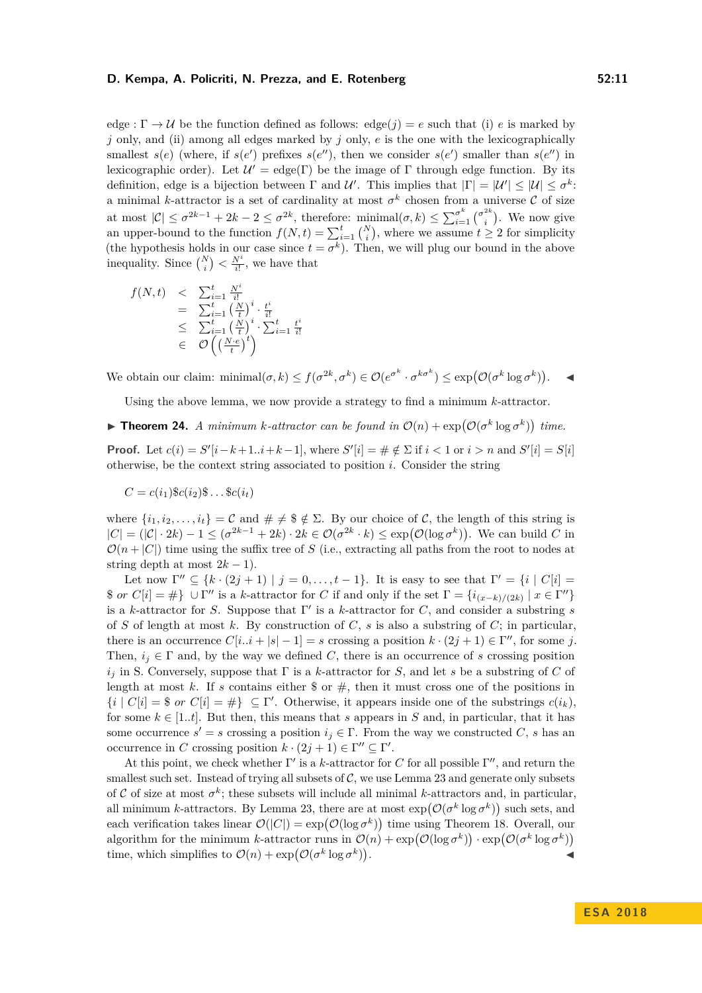edge :  $\Gamma \rightarrow U$  be the function defined as follows: edge(*j*) = *e* such that (i) *e* is marked by *j* only, and (ii) among all edges marked by *j* only, *e* is the one with the lexicographically smallest  $s(e)$  (where, if  $s(e')$  prefixes  $s(e'')$ , then we consider  $s(e')$  smaller than  $s(e'')$  in lexicographic order). Let  $\mathcal{U}' = \text{edge}(\Gamma)$  be the image of  $\Gamma$  through edge function. By its definition, edge is a bijection between  $\Gamma$  and  $\mathcal{U}'$ . This implies that  $|\Gamma| = |\mathcal{U}'| \leq |\mathcal{U}| \leq \sigma^k$ . a minimal *k*-attractor is a set of cardinality at most  $\sigma^k$  chosen from a universe  $\mathcal C$  of size at most  $|\mathcal{C}| \leq \sigma^{2k-1} + 2k - 2 \leq \sigma^{2k}$ , therefore:  $\min_{i} \text{min}(\sigma, k) \leq \sum_{i=1}^{\sigma^k} {\sigma_i^{2k}}$  $\binom{2k}{i}$ . We now give an upper-bound to the function  $f(N, t) = \sum_{i=1}^{t} {N \choose i}$ , where we assume  $t \geq 2$  for simplicity (the hypothesis holds in our case since  $t = \sigma^k$ ). Then, we will plug our bound in the above inequality. Since  $\binom{N}{i} < \frac{N^i}{i!}$ , we have that

$$
f(N,t) < \sum_{i=1}^{t} \frac{N^{i}}{i!}
$$
  
= 
$$
\sum_{i=1}^{t} \left(\frac{N}{t}\right)^{i} \cdot \frac{t^{i}}{i!}
$$
  

$$
\leq \sum_{i=1}^{t} \left(\frac{N}{t}\right)^{i} \cdot \sum_{i=1}^{t} \frac{t^{i}}{i!}
$$
  

$$
\in \mathcal{O}\left(\left(\frac{N \cdot e}{t}\right)^{t}\right)
$$

We obtain our claim:  $\text{minimal}(\sigma, k) \le f(\sigma^{2k}, \sigma^k) \in \mathcal{O}(e^{\sigma^k} \cdot \sigma^{k\sigma^k}) \le \exp(\mathcal{O}(\sigma^k \log \sigma^k)).$ 

Using the above lemma, we now provide a strategy to find a minimum *k*-attractor.

<span id="page-10-0"></span>**Fineorem 24.** *A minimum k-attractor can be found in*  $\mathcal{O}(n) + \exp(\mathcal{O}(\sigma^k \log \sigma^k))$  time.

**Proof.** Let  $c(i) = S'[i-k+1..i+k-1]$ , where  $S'[i] = \# \notin \Sigma$  if  $i < 1$  or  $i > n$  and  $S'[i] = S[i]$ otherwise, be the context string associated to position *i*. Consider the string

 $C = c(i_1)$   $c(i_2)$   $s \ldots$   $c(i_t)$ 

where  $\{i_1, i_2, \ldots, i_t\} = C$  and  $\# \neq \$  \notin \Sigma. By our choice of C, the length of this string is  $|C| = (|\mathcal{C}| \cdot 2k) - 1 \leq (\sigma^{2k-1} + 2k) \cdot 2k \in \mathcal{O}(\sigma^{2k} \cdot k) \leq \exp(\mathcal{O}(\log \sigma^k)).$  We can build C in  $\mathcal{O}(n+|C|)$  time using the suffix tree of *S* (i.e., extracting all paths from the root to nodes at string depth at most  $2k - 1$ ).

Let now  $\Gamma'' \subseteq \{k \cdot (2j+1) \mid j = 0, \ldots, t-1\}$ . It is easy to see that  $\Gamma' = \{i \mid C[i] = 0, \ldots, t-1\}$ . \$ *or*  $C[i] = \#$   $\cup \Gamma''$  is a *k*-attractor for *C* if and only if the set  $\Gamma = \{i_{(x-k)/(2k)} | x \in \Gamma''\}$ is a *k*-attractor for *S*. Suppose that  $\Gamma'$  is a *k*-attractor for *C*, and consider a substring *s* of *S* of length at most *k*. By construction of *C*, *s* is also a substring of *C*; in particular, there is an occurrence  $C[i..i + |s| - 1] = s$  crossing a position  $k \cdot (2j + 1) \in \Gamma''$ , for some *j*. Then,  $i_j \in \Gamma$  and, by the way we defined *C*, there is an occurrence of *s* crossing position *i<sup>j</sup>* in S. Conversely, suppose that Γ is a *k*-attractor for *S*, and let *s* be a substring of *C* of length at most k. If s contains either  $\frac{1}{2}$  or  $\frac{1}{2}$ , then it must cross one of the positions in  $\{i \mid C[i] = $ \text{ or } C[i] = \# \} \subseteq \Gamma'.$  Otherwise, it appears inside one of the substrings  $c(i_k)$ , for some  $k \in [1..t]$ . But then, this means that *s* appears in *S* and, in particular, that it has some occurrence  $s' = s$  crossing a position  $i_j \in \Gamma$ . From the way we constructed *C*, *s* has an occurrence in *C* crossing position  $k \cdot (2j + 1) \in \Gamma'' \subseteq \Gamma'$ .

At this point, we check whether  $\Gamma'$  is a *k*-attractor for *C* for all possible  $\Gamma''$ , and return the smallest such set. Instead of trying all subsets of  $C$ , we use Lemma [23](#page-9-0) and generate only subsets of C of size at most  $\sigma^k$ ; these subsets will include all minimal *k*-attractors and, in particular, all minimum *k*-attractors. By Lemma [23,](#page-9-0) there are at most  $\exp(\mathcal{O}(\sigma^k \log \sigma^k))$  such sets, and each verification takes linear  $\mathcal{O}(|C|) = \exp(\mathcal{O}(\log \sigma^k))$  time using Theorem [18.](#page-7-0) Overall, our algorithm for the minimum *k*-attractor runs in  $\mathcal{O}(n) + \exp(\mathcal{O}(\log \sigma^k)) \cdot \exp(\mathcal{O}(\sigma^k \log \sigma^k))$ time, which simplifies to  $\mathcal{O}(n) + \exp(\mathcal{O}(\sigma^k \log \sigma^k))$ . J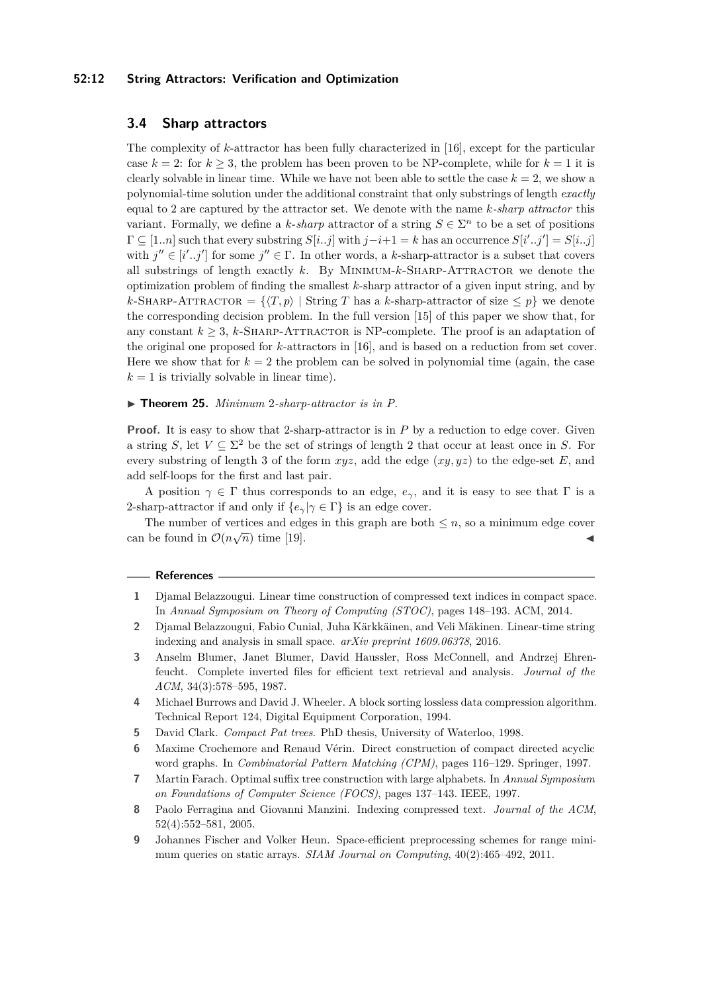#### **52:12 String Attractors: Verification and Optimization**

## <span id="page-11-3"></span>**3.4 Sharp attractors**

The complexity of *k*-attractor has been fully characterized in [\[16\]](#page-12-4), except for the particular case  $k = 2$ : for  $k \geq 3$ , the problem has been proven to be NP-complete, while for  $k = 1$  it is clearly solvable in linear time. While we have not been able to settle the case  $k = 2$ , we show a polynomial-time solution under the additional constraint that only substrings of length *exactly* equal to 2 are captured by the attractor set. We denote with the name *k-sharp attractor* this variant. Formally, we define a *k*-*sharp* attractor of a string  $S \in \Sigma^n$  to be a set of positions  $Γ ⊆ [1..n]$  such that every substring  $S[i..j]$  with  $j-i+1 = k$  has an occurrence  $S[i'..j'] = S[i..j]$ with  $j'' \in [i'..j']$  for some  $j'' \in \Gamma$ . In other words, a *k*-sharp-attractor is a subset that covers all substrings of length exactly *k*. By MINIMUM-*k*-SHARP-ATTRACTOR we denote the optimization problem of finding the smallest *k*-sharp attractor of a given input string, and by  $k$ -SHARP-ATTRACTOR =  $\{\langle T, p \rangle \mid$  String *T* has a *k*-sharp-attractor of size  $\leq p\}$  we denote the corresponding decision problem. In the full version [\[15\]](#page-12-0) of this paper we show that, for any constant  $k \geq 3$ , *k*-SHARP-ATTRACTOR is NP-complete. The proof is an adaptation of the original one proposed for *k*-attractors in [\[16\]](#page-12-4), and is based on a reduction from set cover. Here we show that for  $k = 2$  the problem can be solved in polynomial time (again, the case  $k = 1$  is trivially solvable in linear time).

## ▶ **Theorem 25.** *Minimum 2-sharp-attractor is in P.*

**Proof.** It is easy to show that 2-sharp-attractor is in P by a reduction to edge cover. Given a string *S*, let  $V \subseteq \Sigma^2$  be the set of strings of length 2 that occur at least once in *S*. For every substring of length 3 of the form *xyz*, add the edge (*xy, yz*) to the edge-set *E*, and add self-loops for the first and last pair.

A position  $\gamma \in \Gamma$  thus corresponds to an edge,  $e_{\gamma}$ , and it is easy to see that  $\Gamma$  is a 2-sharp-attractor if and only if  $\{e_\gamma | \gamma \in \Gamma\}$  is an edge cover.

The number of vertices and edges in this graph are both  $\leq n$ , so a minimum edge cover can be found in  $\mathcal{O}(n\sqrt{n})$  time [\[19\]](#page-12-15).

#### **References**

- <span id="page-11-8"></span>**1** Djamal Belazzougui. Linear time construction of compressed text indices in compact space. In *Annual Symposium on Theory of Computing (STOC)*, pages 148–193. ACM, 2014.
- <span id="page-11-7"></span>**2** Djamal Belazzougui, Fabio Cunial, Juha Kärkkäinen, and Veli Mäkinen. Linear-time string indexing and analysis in small space. *arXiv preprint 1609.06378*, 2016.
- <span id="page-11-1"></span>**3** Anselm Blumer, Janet Blumer, David Haussler, Ross McConnell, and Andrzej Ehrenfeucht. Complete inverted files for efficient text retrieval and analysis. *Journal of the ACM*, 34(3):578–595, 1987.
- <span id="page-11-0"></span>**4** Michael Burrows and David J. Wheeler. A block sorting lossless data compression algorithm. Technical Report 124, Digital Equipment Corporation, 1994.
- <span id="page-11-4"></span>**5** David Clark. *Compact Pat trees*. PhD thesis, University of Waterloo, 1998.
- <span id="page-11-2"></span>**6** Maxime Crochemore and Renaud Vérin. Direct construction of compact directed acyclic word graphs. In *Combinatorial Pattern Matching (CPM)*, pages 116–129. Springer, 1997.
- <span id="page-11-6"></span>**7** Martin Farach. Optimal suffix tree construction with large alphabets. In *Annual Symposium on Foundations of Computer Science (FOCS)*, pages 137–143. IEEE, 1997.
- <span id="page-11-9"></span>**8** Paolo Ferragina and Giovanni Manzini. Indexing compressed text. *Journal of the ACM*, 52(4):552–581, 2005.
- <span id="page-11-5"></span>**9** Johannes Fischer and Volker Heun. Space-efficient preprocessing schemes for range minimum queries on static arrays. *SIAM Journal on Computing*, 40(2):465–492, 2011.